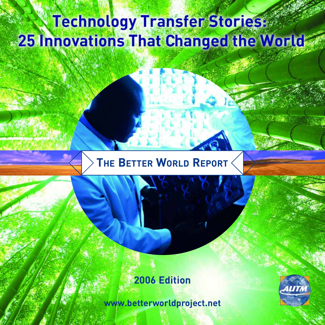# **Technology Transfer Stories: 25 Innovations That Changed the World**

## **THE BETTER WORLD REPORT**

### **2006 Edition**

**www.betterworldproject.net**

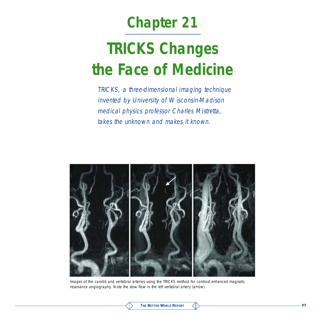## **Chapter 21**

# **TRICKS Changes the Face of Medicine**

TRICKS, a three-dimensional imaging technique invented by University of Wisconsin-Madison medical physics professor Charles Mistretta, takes the unknown and makes it known.



Images of the carotid and vertebral arteries using the TRICKS method for contrast enhanced magnetic resonance angiography. Note the slow flow in the left vertebral artery (arrow)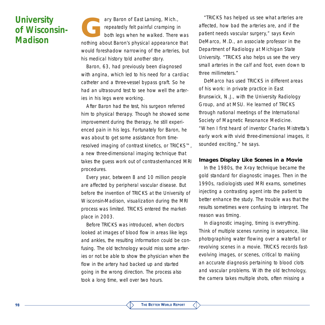### **University of Wisconsin-Madison**

ary Baron of East Lansing, Mich.,<br>repeatedly felt painful cramping is<br>both legs when he walked. There repeatedly felt painful cramping in both legs when he walked. There was nothing about Baron's physical appearance that would foreshadow narrowing of the arteries, but his medical history told another story.

Baron, 63, had previously been diagnosed with angina, which led to his need for a cardiac catheter and a three-vessel bypass graft. So he had an ultrasound test to see how well the arteries in his legs were working.

After Baron had the test, his surgeon referred him to physical therapy. Though he showed some improvement during the therapy, he still experienced pain in his legs. Fortunately for Baron, he was about to get some assistance from timeresolved imaging of contrast kinetics, or TRICKS™, a new three-dimensional imaging technique that takes the guess work out of contrast-enhanced MRI procedures.

Every year, between 8 and 10 million people are affected by peripheral vascular disease. But before the invention of TRICKS at the University of Wisconsin-Madison, visualization during the MRI process was limited. TRICKS entered the marketplace in 2003.

Before TRICKS was introduced, when doctors looked at images of blood flow in areas like legs and ankles, the resulting information could be confusing. The old technology would miss some arteries or not be able to show the physician when the flow in the artery had backed up and started going in the wrong direction. The process also took a long time, well over two hours.

"TRICKS has helped us see what arteries are affected, how bad the arteries are, and if the patient needs vascular surgery," says Kevin DeMarco, M.D., an associate professor in the Department of Radiology at Michigan State University. "TRICKS also helps us see the very small arteries in the calf and foot, even down to three millimeters."

DeMarco has used TRICKS in different areas of his work: in private practice in East Brunswick, N.J., with the University Radiology Group, and at MSU. He learned of TRICKS through national meetings of the International Society of Magnetic Resonance Medicine. "When I first heard of inventor Charles Mistretta's early work with vivid three-dimensional images, it sounded exciting," he says.

#### **Images Display Like Scenes in a Movie**

In the 1980s, the X-ray technique became the gold standard for diagnostic images. Then in the 1990s, radiologists used MRI exams, sometimes injecting a contrasting agent into the patient to better enhance the study. The trouble was that the results sometimes were confusing to interpret. The reason was timing.

In diagnostic imaging, timing is everything. Think of multiple scenes running in sequence, like photographing water flowing over a waterfall or revolving scenes in a movie. TRICKS records fastevolving images, or scenes, critical to making an accurate diagnosis pertaining to blood clots and vascular problems. With the old technology, the camera takes multiple shots, often missing a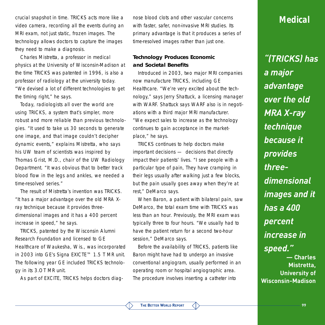crucial snapshot in time. TRICKS acts more like a video camera, recording all the events during an MRI exam, not just static, frozen images. The technology allows doctors to capture the images they need to make a diagnosis.

Charles Mistretta, a professor in medical physics at the University of Wisconsin-Madison at the time TRICKS was patented in 1996, is also a professor of radiology at the university today. "We devised a lot of different technologies to get the timing right," he says.

Today, radiologists all over the world are using TRICKS, a system that's simpler, more robust and more reliable than previous technologies. "It used to take us 30 seconds to generate one image, and that image couldn't decipher dynamic events," explains Mistretta, who says his UW team of scientists was inspired by Thomas Grist, M.D., chair of the UW Radiology Department. "It was obvious that to better track blood flow in the legs and ankles, we needed a time-resolved series."

The result of Mistretta's invention was TRICKS. "It has a major advantage over the old MRA Xray technique because it provides threedimensional images and it has a 400 percent increase in speed," he says.

TRICKS, patented by the Wisconsin Alumni Research Foundation and licensed to GE Healthcare of Waukesha, Wis., was incorporated in 2003 into GE's Signa EXICTE™ 1.5 T MR unit. The following year GE included TRICKS technology in its 3.OT MR unit.

As part of EXCITE, TRICKS helps doctors diag-

nose blood clots and other vascular concerns with faster, safer, non-invasive MRI studies. Its primary advantage is that it produces a series of time-resolved images rather than just one.

#### **Technology Produces Economic and Societal Benefits**

Introduced in 2003, two major MRI companies now manufacture TRICKS, including GE Healthcare. "We're very excited about the technology," says Jerry Shattuck, a licensing manager with WARF. Shattuck says WARF also is in negotiations with a third major MRI manufacturer. "We expect sales to increase as the technology continues to gain acceptance in the marketplace," he says.

TRICKS continues to help doctors make important decisions — decisions that directly impact their patients' lives. "I see people with a particular type of pain, They have cramping in their legs usually after walking just a few blocks, but the pain usually goes away when they're at rest," DeMarco says.

When Baron, a patient with bilateral pain, saw DeMarco, the total exam time with TRICKS was less than an hour. Previously, the MRI exam was typically three to four hours. "We usually had to have the patient return for a second two-hour session," DeMarco says.

Before the availability of TRICKS, patients like Baron might have had to undergo an invasive conventional angiogram, usually performed in an operating room or hospital angiographic area. The procedure involves inserting a catheter into

#### **Medical**

*"(TRICKS) has a major advantage over the old MRA X-ray technique because it provides threedimensional images and it has a 400 percent increase in speed."*  **— Charles Mistretta, University of Wisconsin-Madison**